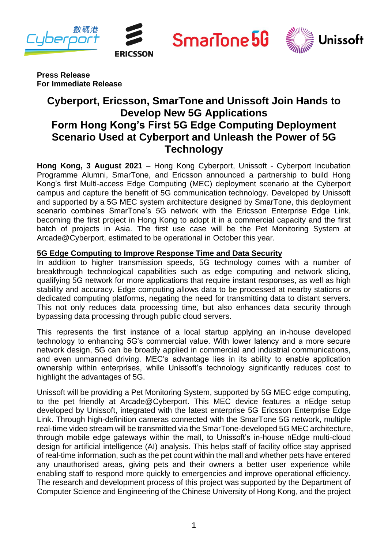







**Press Release For Immediate Release**

# **Cyberport, Ericsson, SmarTone and Unissoft Join Hands to Develop New 5G Applications Form Hong Kong's First 5G Edge Computing Deployment Scenario Used at Cyberport and Unleash the Power of 5G Technology**

**Hong Kong, 3 August 2021** – Hong Kong Cyberport, Unissoft - Cyberport Incubation Programme Alumni, SmarTone, and Ericsson announced a partnership to build Hong Kong's first Multi-access Edge Computing (MEC) deployment scenario at the Cyberport campus and capture the benefit of 5G communication technology. Developed by Unissoft and supported by a 5G MEC system architecture designed by SmarTone, this deployment scenario combines SmarTone's 5G network with the Ericsson Enterprise Edge Link, becoming the first project in Hong Kong to adopt it in a commercial capacity and the first batch of projects in Asia. The first use case will be the Pet Monitoring System at Arcade@Cyberport, estimated to be operational in October this year.

## **5G Edge Computing to Improve Response Time and Data Security**

In addition to higher transmission speeds, 5G technology comes with a number of breakthrough technological capabilities such as edge computing and network slicing, qualifying 5G network for more applications that require instant responses, as well as high stability and accuracy. Edge computing allows data to be processed at nearby stations or dedicated computing platforms, negating the need for transmitting data to distant servers. This not only reduces data processing time, but also enhances data security through bypassing data processing through public cloud servers.

This represents the first instance of a local startup applying an in-house developed technology to enhancing 5G's commercial value. With lower latency and a more secure network design, 5G can be broadly applied in commercial and industrial communications, and even unmanned driving. MEC's advantage lies in its ability to enable application ownership within enterprises, while Unissoft's technology significantly reduces cost to highlight the advantages of 5G.

Unissoft will be providing a Pet Monitoring System, supported by 5G MEC edge computing, to the pet friendly at Arcade@Cyberport. This MEC device features a nEdge setup developed by Unissoft, integrated with the latest enterprise 5G Ericsson Enterprise Edge Link. Through high-definition cameras connected with the SmarTone 5G network, multiple real-time video stream will be transmitted via the SmarTone-developed 5G MEC architecture, through mobile edge gateways within the mall, to Unissoft's in-house nEdge multi-cloud design for artificial intelligence (AI) analysis. This helps staff of facility office stay apprised of real-time information, such as the pet count within the mall and whether pets have entered any unauthorised areas, giving pets and their owners a better user experience while enabling staff to respond more quickly to emergencies and improve operational efficiency. The research and development process of this project was supported by the Department of Computer Science and Engineering of the Chinese University of Hong Kong, and the project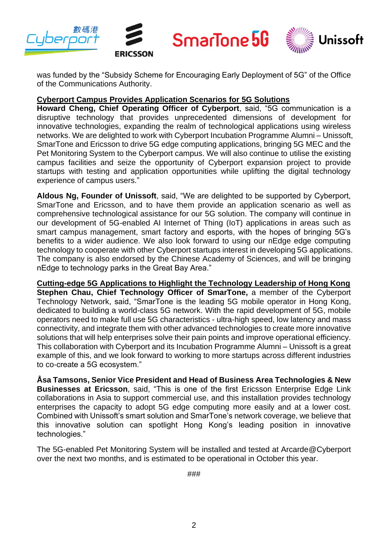

was funded by the "Subsidy Scheme for Encouraging Early Deployment of 5G" of the Office of the Communications Authority.

#### **Cyberport Campus Provides Application Scenarios for 5G Solutions**

**Howard Cheng, Chief Operating Officer of Cyberport**, said, "5G communication is a disruptive technology that provides unprecedented dimensions of development for innovative technologies, expanding the realm of technological applications using wireless networks. We are delighted to work with Cyberport Incubation Programme Alumni – Unissoft, SmarTone and Ericsson to drive 5G edge computing applications, bringing 5G MEC and the Pet Monitoring System to the Cyberport campus. We will also continue to utilise the existing campus facilities and seize the opportunity of Cyberport expansion project to provide startups with testing and application opportunities while uplifting the digital technology experience of campus users."

**Aldous Ng, Founder of Unissoft**, said, "We are delighted to be supported by Cyberport, SmarTone and Ericsson, and to have them provide an application scenario as well as comprehensive technological assistance for our 5G solution. The company will continue in our development of 5G-enabled AI Internet of Thing (IoT) applications in areas such as smart campus management, smart factory and esports, with the hopes of bringing 5G's benefits to a wider audience. We also look forward to using our nEdge edge computing technology to cooperate with other Cyberport startups interest in developing 5G applications. The company is also endorsed by the Chinese Academy of Sciences, and will be bringing nEdge to technology parks in the Great Bay Area."

**Cutting-edge 5G Applications to Highlight the Technology Leadership of Hong Kong Stephen Chau, Chief Technology Officer of SmarTone,** a member of the Cyberport Technology Network, said, "SmarTone is the leading 5G mobile operator in Hong Kong, dedicated to building a world-class 5G network. With the rapid development of 5G, mobile operators need to make full use 5G characteristics - ultra-high speed, low latency and mass connectivity, and integrate them with other advanced technologies to create more innovative solutions that will help enterprises solve their pain points and improve operational efficiency. This collaboration with Cyberport and its Incubation Programme Alumni – Unissoft is a great example of this, and we look forward to working to more startups across different industries to co-create a 5G ecosystem."

**Åsa Tamsons, Senior Vice President and Head of Business Area Technologies & New Businesses at Ericsson**, said, "This is one of the first Ericsson Enterprise Edge Link collaborations in Asia to support commercial use, and this installation provides technology enterprises the capacity to adopt 5G edge computing more easily and at a lower cost. Combined with Unissoft's smart solution and SmarTone's network coverage, we believe that this innovative solution can spotlight Hong Kong's leading position in innovative technologies."

The 5G-enabled Pet Monitoring System will be installed and tested at Arcarde@Cyberport over the next two months, and is estimated to be operational in October this year.

###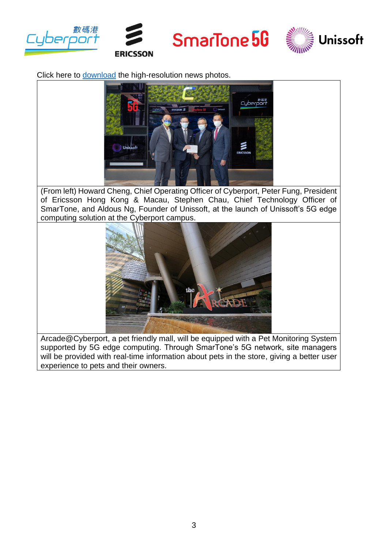



SmarTone 5G



Click here to [download](https://drive.google.com/drive/folders/1kW_xDpNDJPc-RDbkGE6k2NZk1QPEvA0O?usp=sharing) the high-resolution news photos.



(From left) Howard Cheng, Chief Operating Officer of Cyberport, Peter Fung, President of Ericsson Hong Kong & Macau, Stephen Chau, Chief Technology Officer of SmarTone, and Aldous Ng, Founder of Unissoft, at the launch of Unissoft's 5G edge computing solution at the Cyberport campus.



Arcade@Cyberport, a pet friendly mall, will be equipped with a Pet Monitoring System supported by 5G edge computing. Through SmarTone's 5G network, site managers will be provided with real-time information about pets in the store, giving a better user experience to pets and their owners.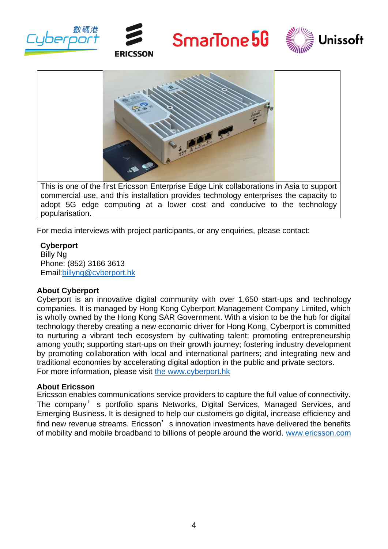









adopt 5G edge computing at a lower cost and conducive to the technology popularisation.

For media interviews with project participants, or any enquiries, please contact:

## **Cyberport**

Billy Ng Phone: (852) 3166 3613 Email[:billyng@cyberport.hk](mailto:billyng@cyberport.hk)

### **About Cyberport**

Cyberport is an innovative digital community with over 1,650 start-ups and technology companies. It is managed by Hong Kong Cyberport Management Company Limited, which is wholly owned by the Hong Kong SAR Government. With a vision to be the hub for digital technology thereby creating a new economic driver for Hong Kong, Cyberport is committed to nurturing a vibrant tech ecosystem by cultivating talent; promoting entrepreneurship among youth; supporting start-ups on their growth journey; fostering industry development by promoting collaboration with local and international partners; and integrating new and traditional economies by accelerating digital adoption in the public and private sectors. For more information, please visit [the www.cyberport.hk](http://www.cyberport.hk/)

### **About Ericsson**

Ericsson enables communications service providers to capture the full value of connectivity. The company' s portfolio spans Networks, Digital Services, Managed Services, and Emerging Business. It is designed to help our customers go digital, increase efficiency and find new revenue streams. Ericsson, s innovation investments have delivered the benefits of mobility and mobile broadband to billions of people around the world. [www.ericsson.com](http://www.ericsson.com/)